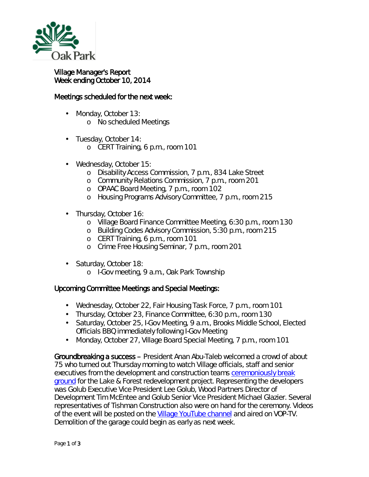

## Village Manager's Report Week ending October 10, 2014

## Meetings scheduled for the next week:

- Monday, October 13: o No scheduled Meetings
- Tuesday, October 14:
	- o CERT Training, 6 p.m., room 101
- ä, Wednesday, October 15:
	- o Disability Access Commission, 7 p.m., 834 Lake Street
	- o Community Relations Commission, 7 p.m., room 201
	- o OPAAC Board Meeting, 7 p.m., room 102
	- o Housing Programs Advisory Committee, 7 p.m., room 215
- . Thursday, October 16:
	- o Village Board Finance Committee Meeting, 6:30 p.m., room 130
	- o Building Codes Advisory Commission, 5:30 p.m., room 215
	- o CERT Training, 6 p.m., room 101
	- o Crime Free Housing Seminar, 7 p.m., room 201
- . Saturday, October 18:
	- o I-Gov meeting, 9 a.m., Oak Park Township

## Upcoming Committee Meetings and Special Meetings:

- Wednesday, October 22, Fair Housing Task Force, 7 p.m., room 101
- Thursday, October 23, Finance Committee, 6:30 p.m., room 130
- Saturday, October 25, I-Gov Meeting, 9 a.m., Brooks Middle School, Elected Officials BBQ immediately following I-Gov Meeting
- ¥, Monday, October 27, Village Board Special Meeting, 7 p.m., room 101

Groundbreaking a success – President Anan Abu-Taleb welcomed a crowd of about 75 who turned out Thursday morning to watch Village officials, staff and senior executives from the development and construction teams [ceremoniously break](http://www.oak-park.us/news/officials-break-ground-lake-forest-redevelopment-project)  [ground](http://www.oak-park.us/news/officials-break-ground-lake-forest-redevelopment-project) for the Lake & Forest redevelopment project. Representing the developers was Golub Executive Vice President Lee Golub, Wood Partners Director of Development Tim McEntee and Golub Senior Vice President Michael Glazier. Several representatives of Tishman Construction also were on hand for the ceremony. Videos of the event will be posted on the [Village YouTube channel](http://www.youtube.com/user/vopnews) and aired on VOP-TV. Demolition of the garage could begin as early as next week.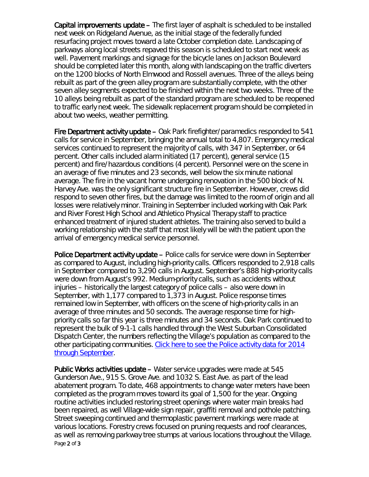Capital improvements update – The first layer of asphalt is scheduled to be installed next week on Ridgeland Avenue, as the initial stage of the federally funded resurfacing project moves toward a late October completion date. Landscaping of parkways along local streets repaved this season is scheduled to start next week as well. Pavement markings and signage for the bicycle lanes on Jackson Boulevard should be completed later this month, along with landscaping on the traffic diverters on the 1200 blocks of North Elmwood and Rossell avenues. Three of the alleys being rebuilt as part of the green alley program are substantially complete, with the other seven alley segments expected to be finished within the next two weeks. Three of the 10 alleys being rebuilt as part of the standard program are scheduled to be reopened to traffic early next week. The sidewalk replacement program should be completed in about two weeks, weather permitting.

Fire Department activity update – Oak Park firefighter/paramedics responded to 541 calls for service in September, bringing the annual total to 4,807. Emergency medical services continued to represent the majority of calls, with 347 in September, or 64 percent. Other calls included alarm initiated (17 percent), general service (15 percent) and fire/hazardous conditions (4 percent). Personnel were on the scene in an average of five minutes and 23 seconds, well below the six minute national average. The fire in the vacant home undergoing renovation in the 500 block of N. Harvey Ave. was the only significant structure fire in September. However, crews did respond to seven other fires, but the damage was limited to the room of origin and all losses were relatively minor. Training in September included working with Oak Park and River Forest High School and Athletico Physical Therapy staff to practice enhanced treatment of injured student athletes. The training also served to build a working relationship with the staff that most likely will be with the patient upon the arrival of emergency medical service personnel.

Police Department activity update – Police calls for service were down in September as compared to August, including high-priority calls. Officers responded to 2,918 calls in September compared to 3,290 calls in August. September's 888 high-priority calls were down from August's 992. Medium-priority calls, such as accidents without injuries – historically the largest category of police calls – also were down in September, with 1,177 compared to 1,373 in August. Police response times remained low in September, with officers on the scene of high-priority calls in an average of three minutes and 50 seconds. The average response time for highpriority calls so far this year is three minutes and 34 seconds. Oak Park continued to represent the bulk of 9-1-1 calls handled through the West Suburban Consolidated Dispatch Center, the numbers reflecting the Village's population as compared to the other participating communities. [Click here to see the Police activity data for 2014](http://www.oak-park.us/sites/default/files/456678891/2014-09-police-data.pdf)  [through September.](http://www.oak-park.us/sites/default/files/456678891/2014-09-police-data.pdf)

Page 2 of 3 Public Works activities update – Water service upgrades were made at 545 Gunderson Ave., 915 S. Grove Ave. and 1032 S. East Ave. as part of the lead abatement program. To date, 468 appointments to change water meters have been completed as the program moves toward its goal of 1,500 for the year. Ongoing routine activities included restoring street openings where water main breaks had been repaired, as well Village-wide sign repair, graffiti removal and pothole patching. Street sweeping continued and thermoplastic pavement markings were made at various locations. Forestry crews focused on pruning requests and roof clearances, as well as removing parkway tree stumps at various locations throughout the Village.